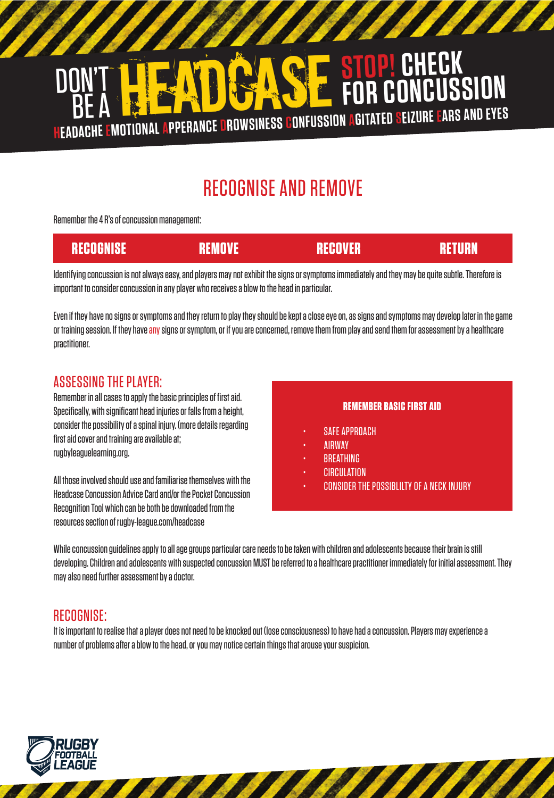

# RECOGNISE AND REMOVE

Remember the 4 R's of concussion management:

| RECOGNISE | RECOVER | VURN. |
|-----------|---------|-------|
|           |         |       |

Identifying concussion is not always easy, and players may not exhibit the signs or symptoms immediately and they may be quite subtle. Therefore is important to consider concussion in any player who receives a blow to the head in particular.

Even if they have no signs or symptoms and they return to play they should be kept a close eye on, as signs and symptoms may develop later in the game or training session. If they have any signs or symptom, or if you are concerned, remove them from play and send them for assessment by a healthcare practitioner.

### ASSESSING THE PLAYER:

Remember in all cases to apply the basic principles of first aid. Specifically, with significant head injuries or falls from a height, consider the possibility of a spinal injury. (more details regarding first aid cover and training are available at; rugbyleaguelearning.org.

All those involved should use and familiarise themselves with the Headcase Concussion Advice Card and/or the Pocket Concussion Recognition Tool which can be both be downloaded from the resources section of rugby-league.com/headcase

#### **REMEMBER BASIC FIRST AID**

- SAFF APPROACH
- AIRWAY
- **BREATHING**
- **CIRCULATION**
- CONSIDER THE POSSIBLILTY OF A NECK INJURY

While concussion guidelines apply to all age groups particular care needs to be taken with children and adolescents because their brain is still developing. Children and adolescents with suspected concussion MUST be referred to a healthcare practitioner immediately for initial assessment. They may also need further assessment by a doctor.

## RECOGNISE:

It is important to realise that a player does not need to be knocked out (lose consciousness) to have had a concussion. Players may experience a number of problems after a blow to the head, or you may notice certain things that arouse your suspicion.

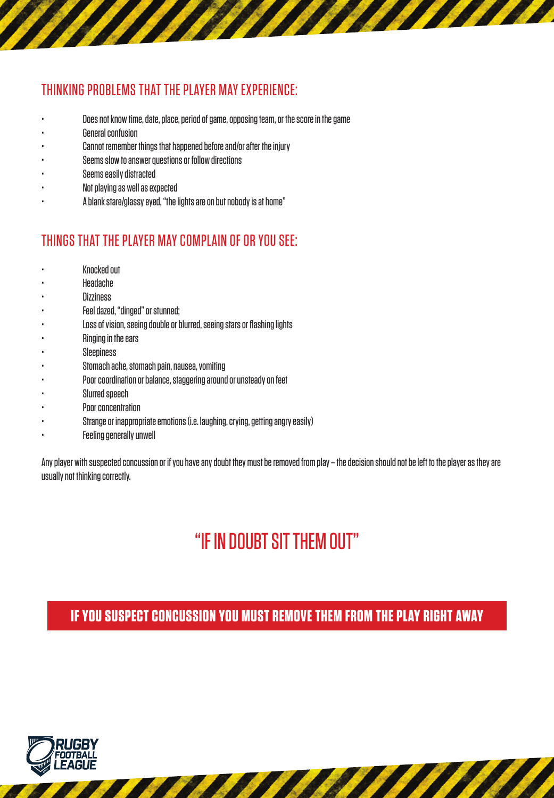## THINKING PROBLEMS THAT THE PLAYER MAY EXPERIENCE:

• Does not know time, date, place, period of game, opposing team, or the score in the game

**THE REAL PROPERTY** 

- General confusion
- Cannot remember things that happened before and/or after the injury
- Seems slow to answer questions or follow directions
- Seems easily distracted
- Not playing as well as expected
- A blank stare/glassy eyed, "the lights are on but nobody is at home"

## THINGS THAT THE PLAYER MAY COMPLAIN OF OR YOU SEE:

- Knocked out
- Headache
- **Dizziness**
- Feel dazed, "dinged" or stunned;
- Loss of vision, seeing double or blurred, seeing stars or flashing lights
- Ringing in the ears
- **Sleepiness**
- Stomach ache, stomach pain, nausea, vomiting
- Poor coordination or balance, staggering around or unsteady on feet
- Slurred speech
- Poor concentration
- Strange or inappropriate emotions (i.e. laughing, crying, getting angry easily)
- **Feeling generally unwell**

Any player with suspected concussion or if you have any doubt they must be removed from play – the decision should not be left to the player as they are usually not thinking correctly.

# "IF IN DOUBT SIT THEM OUT"

**IF YOU SUSPECT CONCUSSION YOU MUST REMOVE THEM FROM THE PLAY RIGHT AWAY**

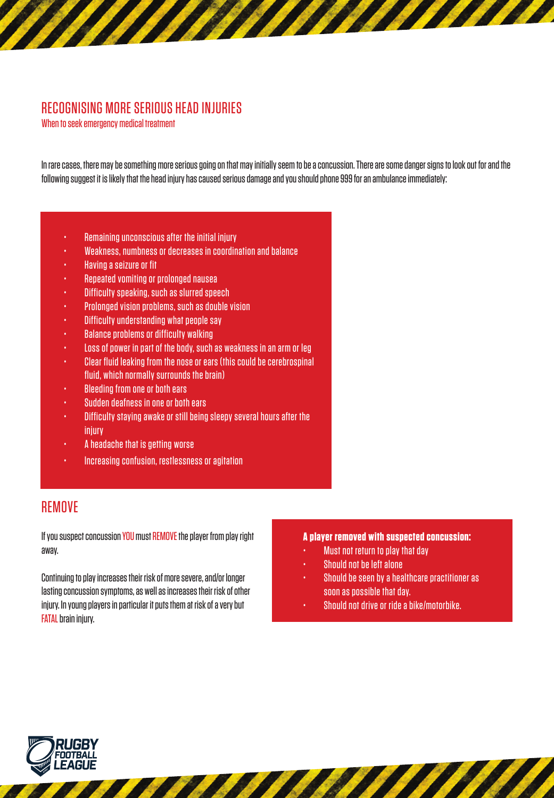## RECOGNISING MORE SERIOUS HEAD INJURIES

When to seek emergency medical treatment

In rare cases, there may be something more serious going on that may initially seem to be a concussion. There are some danger signs to look out for and the following suggest it is likely that the head injury has caused serious damage and you should phone 999 for an ambulance immediately:

- Remaining unconscious after the initial injury
- Weakness, numbness or decreases in coordination and balance
- Having a seizure or fit
- Repeated vomiting or prolonged nausea
- Difficulty speaking, such as slurred speech
- Prolonged vision problems, such as double vision
- Difficulty understanding what people say
- Balance problems or difficulty walking
- Loss of power in part of the body, such as weakness in an arm or leg
- Clear fluid leaking from the nose or ears (this could be cerebrospinal fluid, which normally surrounds the brain)
- Bleeding from one or both ears
- Sudden deafness in one or both ears
- Difficulty staying awake or still being sleepy several hours after the injury
- A headache that is getting worse
- Increasing confusion, restlessness or agitation

### REMOVE

If you suspect concussion YOU must REMOVE the player from play right away.

Continuing to play increases their risk of more severe, and/or longer lasting concussion symptoms, as well as increases their risk of other injury. In young players in particular it puts them at risk of a very but FATAL brain injury.

#### **A player removed with suspected concussion:**

- Must not return to play that day
- Should not be left alone
- Should be seen by a healthcare practitioner as soon as possible that day.
- Should not drive or ride a bike/motorbike.